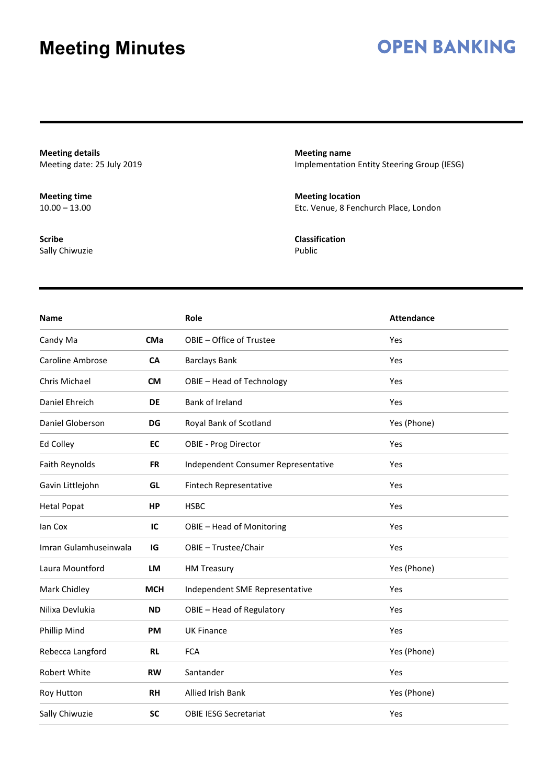### **OPEN BANKING**

**Meeting details** Meeting date: 25 July 2019

**Meeting time**  $10.00 - 13.00$ 

**Scribe** Sally Chiwuzie **Meeting name** Implementation Entity Steering Group (IESG)

**Meeting location** Etc. Venue, 8 Fenchurch Place, London

**Classification** Public

| <b>Name</b>           |            | Role                                | <b>Attendance</b> |
|-----------------------|------------|-------------------------------------|-------------------|
| Candy Ma              | <b>CMa</b> | OBIE - Office of Trustee            | Yes               |
| Caroline Ambrose      | CA         | <b>Barclays Bank</b>                | Yes               |
| Chris Michael         | <b>CM</b>  | OBIE - Head of Technology           | Yes               |
| Daniel Ehreich        | <b>DE</b>  | Bank of Ireland                     | Yes               |
| Daniel Globerson      | DG         | Royal Bank of Scotland              | Yes (Phone)       |
| Ed Colley             | EC         | OBIE - Prog Director                | Yes               |
| Faith Reynolds        | <b>FR</b>  | Independent Consumer Representative | Yes               |
| Gavin Littlejohn      | GL         | Fintech Representative              | Yes               |
| <b>Hetal Popat</b>    | HP         | <b>HSBC</b>                         | Yes               |
| lan Cox               | IC         | OBIE - Head of Monitoring           | Yes               |
| Imran Gulamhuseinwala | IG         | OBIE - Trustee/Chair                | Yes               |
| Laura Mountford       | LM         | <b>HM Treasury</b>                  | Yes (Phone)       |
| Mark Chidley          | <b>MCH</b> | Independent SME Representative      | Yes               |
| Nilixa Devlukia       | <b>ND</b>  | OBIE - Head of Regulatory           | Yes               |
| Phillip Mind          | <b>PM</b>  | <b>UK Finance</b>                   | Yes               |
| Rebecca Langford      | <b>RL</b>  | <b>FCA</b>                          | Yes (Phone)       |
| <b>Robert White</b>   | <b>RW</b>  | Santander                           | Yes               |
| Roy Hutton            | RH         | <b>Allied Irish Bank</b>            | Yes (Phone)       |
| Sally Chiwuzie        | <b>SC</b>  | <b>OBIE IESG Secretariat</b>        | Yes               |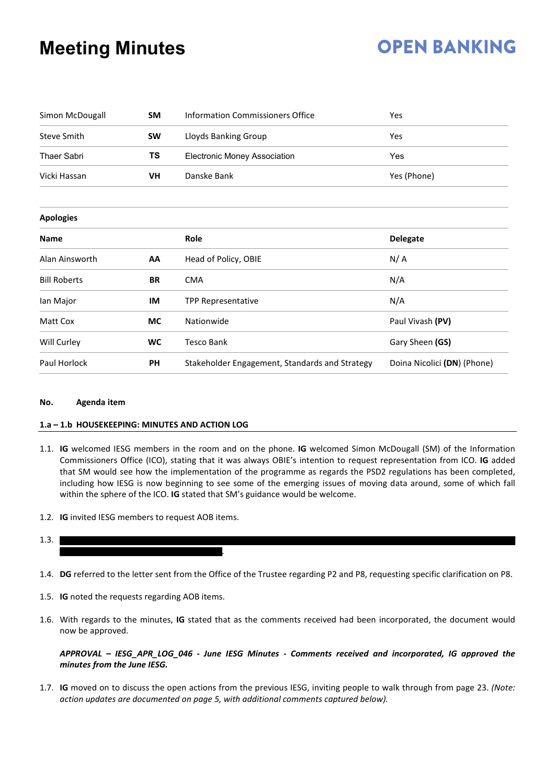## **OPEN BANKING**

| Simon McDougall<br><b>SM</b>    |                                           | <b>Information Commissioners Office</b>        | Yes                         |  |  |
|---------------------------------|-------------------------------------------|------------------------------------------------|-----------------------------|--|--|
| <b>Steve Smith</b><br><b>SW</b> |                                           | Lloyds Banking Group                           | Yes                         |  |  |
| <b>Thaer Sabri</b>              | TS<br><b>Electronic Money Association</b> |                                                | Yes                         |  |  |
| Vicki Hassan<br>VH              |                                           | Danske Bank                                    | Yes (Phone)                 |  |  |
| <b>Apologies</b>                |                                           |                                                |                             |  |  |
| Name                            |                                           | Role                                           | <b>Delegate</b>             |  |  |
| Alan Ainsworth                  | AA                                        | Head of Policy, OBIE                           | N/A                         |  |  |
| <b>Bill Roberts</b>             | <b>BR</b>                                 | <b>CMA</b>                                     | N/A                         |  |  |
| lan Major                       | IM                                        | <b>TPP Representative</b>                      | N/A                         |  |  |
| Matt Cox                        | <b>MC</b>                                 | Nationwide                                     | Paul Vivash (PV)            |  |  |
| Will Curley                     | <b>WC</b>                                 | <b>Tesco Bank</b>                              | Gary Sheen (GS)             |  |  |
| Paul Horlock                    | <b>PH</b>                                 | Stakeholder Engagement, Standards and Strategy | Doina Nicolici (DN) (Phone) |  |  |

#### **No. Agenda item**

#### **1.a – 1.b HOUSEKEEPING: MINUTES AND ACTION LOG**

- 1.1. **IG** welcomed IESG members in the room and on the phone. **IG** welcomed Simon McDougall (SM) of the Information Commissioners Office (ICO), stating that it was always OBIE's intention to request representation from ICO. **IG** added that SM would see how the implementation of the programme as regards the PSD2 regulations has been completed, including how IESG is now beginning to see some of the emerging issues of moving data around, some of which fall within the sphere of the ICO. **IG** stated that SM's guidance would be welcome.
- 1.2. **IG** invited IESG members to request AOB items.

#### 1.3.

1.4. **DG** referred to the letter sent from the Office of the Trustee regarding P2 and P8, requesting specific clarification on P8.

.

- 1.5. **IG** noted the requests regarding AOB items.
- 1.6. With regards to the minutes, **IG** stated that as the comments received had been incorporated, the document would now be approved.

#### *APPROVAL – IESG\_APR\_LOG\_046 - June IESG Minutes - Comments received and incorporated, IG approved the minutes from the June IESG.*

1.7. **IG** moved on to discuss the open actions from the previous IESG, inviting people to walk through from page 23. *(Note: action updates are documented on page 5, with additional comments captured below).*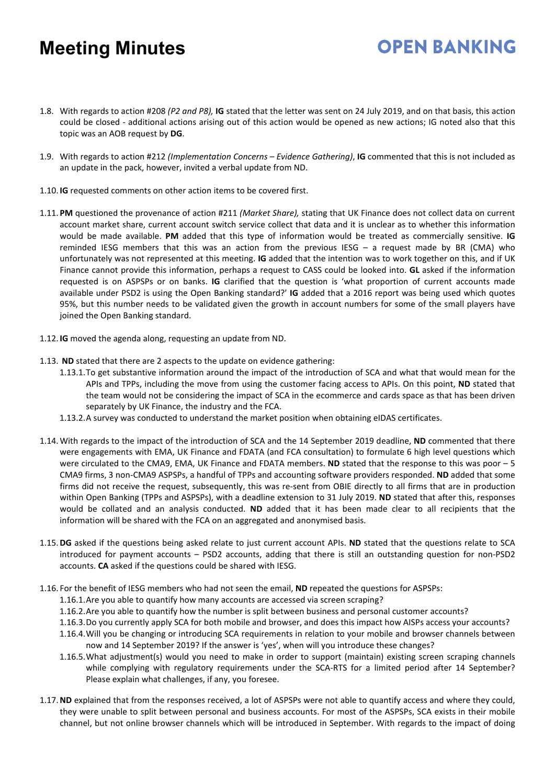1.8. With regards to action #208 *(P2 and P8),* **IG** stated that the letter was sent on 24 July 2019, and on that basis, this action could be closed - additional actions arising out of this action would be opened as new actions; IG noted also that this topic was an AOB request by **DG**.

- 1.9. With regards to action #212 *(Implementation Concerns – Evidence Gathering)*, **IG** commented that this is not included as an update in the pack, however, invited a verbal update from ND.
- 1.10. **IG** requested comments on other action items to be covered first.
- 1.11. **PM** questioned the provenance of action #211 *(Market Share),* stating that UK Finance does not collect data on current account market share, current account switch service collect that data and it is unclear as to whether this information would be made available. **PM** added that this type of information would be treated as commercially sensitive. **IG** reminded IESG members that this was an action from the previous IESG – a request made by BR (CMA) who unfortunately was not represented at this meeting. **IG** added that the intention was to work together on this, and if UK Finance cannot provide this information, perhaps a request to CASS could be looked into. **GL** asked if the information requested is on ASPSPs or on banks. **IG** clarified that the question is 'what proportion of current accounts made available under PSD2 is using the Open Banking standard?' **IG** added that a 2016 report was being used which quotes 95%, but this number needs to be validated given the growth in account numbers for some of the small players have joined the Open Banking standard.
- 1.12. **IG** moved the agenda along, requesting an update from ND.
- 1.13. **ND** stated that there are 2 aspects to the update on evidence gathering:
	- 1.13.1.To get substantive information around the impact of the introduction of SCA and what that would mean for the APIs and TPPs, including the move from using the customer facing access to APIs. On this point, **ND** stated that the team would not be considering the impact of SCA in the ecommerce and cards space as that has been driven separately by UK Finance, the industry and the FCA.
	- 1.13.2.A survey was conducted to understand the market position when obtaining eIDAS certificates.
- 1.14.With regards to the impact of the introduction of SCA and the 14 September 2019 deadline, **ND** commented that there were engagements with EMA, UK Finance and FDATA (and FCA consultation) to formulate 6 high level questions which were circulated to the CMA9, EMA, UK Finance and FDATA members. **ND** stated that the response to this was poor – 5 CMA9 firms, 3 non-CMA9 ASPSPs, a handful of TPPs and accounting software providers responded. **ND** added that some firms did not receive the request, subsequently, this was re-sent from OBIE directly to all firms that are in production within Open Banking (TPPs and ASPSPs), with a deadline extension to 31 July 2019. **ND** stated that after this, responses would be collated and an analysis conducted. **ND** added that it has been made clear to all recipients that the information will be shared with the FCA on an aggregated and anonymised basis.
- 1.15.**DG** asked if the questions being asked relate to just current account APIs. **ND** stated that the questions relate to SCA introduced for payment accounts – PSD2 accounts, adding that there is still an outstanding question for non-PSD2 accounts. **CA** asked if the questions could be shared with IESG.
- 1.16. For the benefit of IESG members who had not seen the email, **ND** repeated the questions for ASPSPs:
	- 1.16.1.Are you able to quantify how many accounts are accessed via screen scraping?
	- 1.16.2.Are you able to quantify how the number is split between business and personal customer accounts?
	- 1.16.3.Do you currently apply SCA for both mobile and browser, and does this impact how AISPs access your accounts?
	- 1.16.4.Will you be changing or introducing SCA requirements in relation to your mobile and browser channels between now and 14 September 2019? If the answer is 'yes', when will you introduce these changes?
	- 1.16.5.What adjustment(s) would you need to make in order to support (maintain) existing screen scraping channels while complying with regulatory requirements under the SCA-RTS for a limited period after 14 September? Please explain what challenges, if any, you foresee.
- 1.17.**ND** explained that from the responses received, a lot of ASPSPs were not able to quantify access and where they could, they were unable to split between personal and business accounts. For most of the ASPSPs, SCA exists in their mobile channel, but not online browser channels which will be introduced in September. With regards to the impact of doing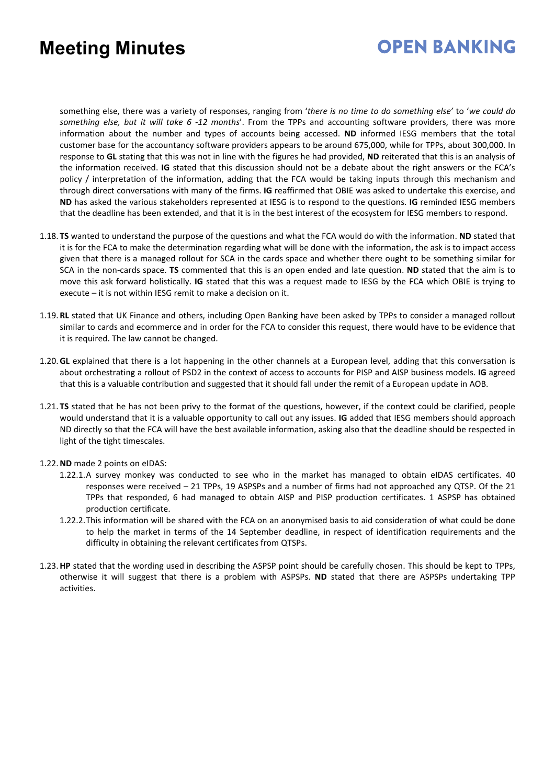### **OPEN BANKING**

something else, there was a variety of responses, ranging from '*there is no time to do something else'* to '*we could do something else, but it will take 6 -12 months*'. From the TPPs and accounting software providers, there was more information about the number and types of accounts being accessed. **ND** informed IESG members that the total customer base for the accountancy software providers appears to be around 675,000, while for TPPs, about 300,000. In response to **GL** stating that this was not in line with the figures he had provided, **ND** reiterated that this is an analysis of the information received. **IG** stated that this discussion should not be a debate about the right answers or the FCA's policy / interpretation of the information, adding that the FCA would be taking inputs through this mechanism and through direct conversations with many of the firms. **IG** reaffirmed that OBIE was asked to undertake this exercise, and **ND** has asked the various stakeholders represented at IESG is to respond to the questions. **IG** reminded IESG members that the deadline has been extended, and that it is in the best interest of the ecosystem for IESG members to respond.

- 1.18. **TS** wanted to understand the purpose of the questions and what the FCA would do with the information. **ND** stated that it is for the FCA to make the determination regarding what will be done with the information, the ask is to impact access given that there is a managed rollout for SCA in the cards space and whether there ought to be something similar for SCA in the non-cards space. **TS** commented that this is an open ended and late question. **ND** stated that the aim is to move this ask forward holistically. **IG** stated that this was a request made to IESG by the FCA which OBIE is trying to execute – it is not within IESG remit to make a decision on it.
- 1.19. **RL** stated that UK Finance and others, including Open Banking have been asked by TPPs to consider a managed rollout similar to cards and ecommerce and in order for the FCA to consider this request, there would have to be evidence that it is required. The law cannot be changed.
- 1.20.**GL** explained that there is a lot happening in the other channels at a European level, adding that this conversation is about orchestrating a rollout of PSD2 in the context of access to accounts for PISP and AISP business models. **IG** agreed that this is a valuable contribution and suggested that it should fall under the remit of a European update in AOB.
- 1.21. **TS** stated that he has not been privy to the format of the questions, however, if the context could be clarified, people would understand that it is a valuable opportunity to call out any issues. **IG** added that IESG members should approach ND directly so that the FCA will have the best available information, asking also that the deadline should be respected in light of the tight timescales.

#### 1.22.**ND** made 2 points on eIDAS:

- 1.22.1.A survey monkey was conducted to see who in the market has managed to obtain eIDAS certificates. 40 responses were received – 21 TPPs, 19 ASPSPs and a number of firms had not approached any QTSP. Of the 21 TPPs that responded, 6 had managed to obtain AISP and PISP production certificates. 1 ASPSP has obtained production certificate.
- 1.22.2.This information will be shared with the FCA on an anonymised basis to aid consideration of what could be done to help the market in terms of the 14 September deadline, in respect of identification requirements and the difficulty in obtaining the relevant certificates from QTSPs.
- 1.23.**HP** stated that the wording used in describing the ASPSP point should be carefully chosen. This should be kept to TPPs, otherwise it will suggest that there is a problem with ASPSPs. **ND** stated that there are ASPSPs undertaking TPP activities.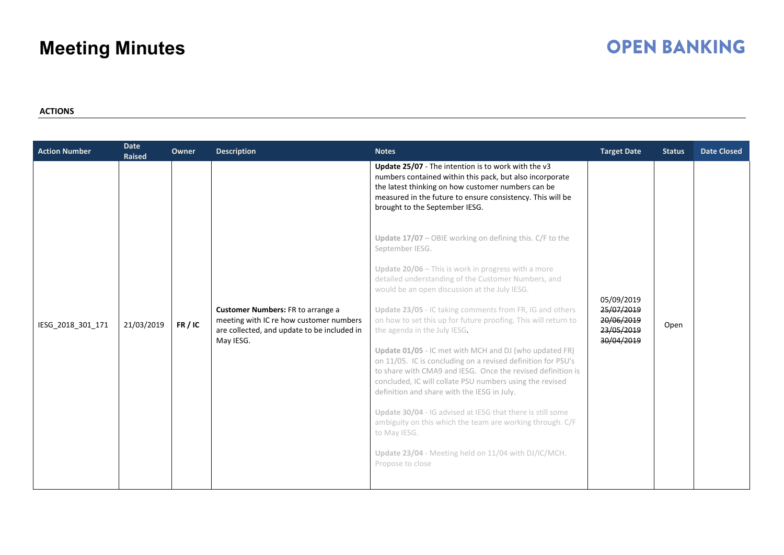### **OPEN BANKING**

#### **ACTIONS**

| <b>Action Number</b> | <b>Date</b><br><b>Raised</b> | Owner | <b>Description</b>                                                                                                                       | <b>Notes</b>                                                                                                                                                                                                                                                                                                                                                                                                                                                                                                                                                                                                                                                                                                                                                                                                                                                                                                                                                                          | <b>Target Date</b>                                                 | <b>Status</b> | <b>Date Closed</b> |
|----------------------|------------------------------|-------|------------------------------------------------------------------------------------------------------------------------------------------|---------------------------------------------------------------------------------------------------------------------------------------------------------------------------------------------------------------------------------------------------------------------------------------------------------------------------------------------------------------------------------------------------------------------------------------------------------------------------------------------------------------------------------------------------------------------------------------------------------------------------------------------------------------------------------------------------------------------------------------------------------------------------------------------------------------------------------------------------------------------------------------------------------------------------------------------------------------------------------------|--------------------------------------------------------------------|---------------|--------------------|
| IESG 2018 301 171    | 21/03/2019                   | FR/IC | Customer Numbers: FR to arrange a<br>meeting with IC re how customer numbers<br>are collected, and update to be included in<br>May IESG. | Update 25/07 - The intention is to work with the v3<br>numbers contained within this pack, but also incorporate<br>the latest thinking on how customer numbers can be<br>measured in the future to ensure consistency. This will be<br>brought to the September IESG.<br>Update 17/07 - OBIE working on defining this. C/F to the<br>September IESG.<br>Update 20/06 - This is work in progress with a more<br>detailed understanding of the Customer Numbers, and<br>would be an open discussion at the July IESG.<br>Update 23/05 - IC taking comments from FR, IG and others<br>on how to set this up for future proofing. This will return to<br>the agenda in the July IESG.<br>Update 01/05 - IC met with MCH and DJ (who updated FR)<br>on 11/05. IC is concluding on a revised definition for PSU's<br>to share with CMA9 and IESG. Once the revised definition is<br>concluded, IC will collate PSU numbers using the revised<br>definition and share with the IESG in July. | 05/09/2019<br>25/07/2019<br>20/06/2019<br>23/05/2019<br>30/04/2019 | Open          |                    |
|                      |                              |       |                                                                                                                                          | Update 30/04 - IG advised at IESG that there is still some<br>ambiguity on this which the team are working through. C/F<br>to May IESG.<br>Update 23/04 - Meeting held on 11/04 with DJ/IC/MCH.<br>Propose to close                                                                                                                                                                                                                                                                                                                                                                                                                                                                                                                                                                                                                                                                                                                                                                   |                                                                    |               |                    |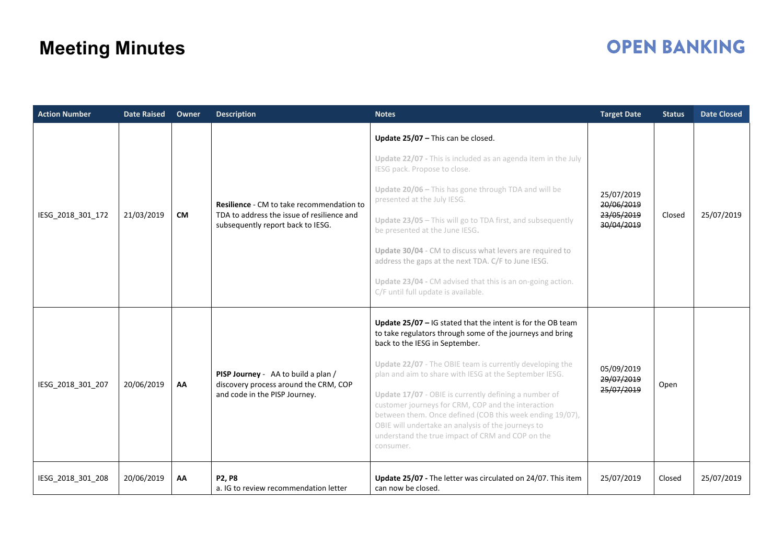| <b>Action Number</b> | <b>Date Raised</b> | Owner     | <b>Description</b>                                                                                                           | <b>Notes</b>                                                                                                                                                                                                                                                                                   | <b>Target Date</b>                     | <b>Status</b> | <b>Date Closed</b> |
|----------------------|--------------------|-----------|------------------------------------------------------------------------------------------------------------------------------|------------------------------------------------------------------------------------------------------------------------------------------------------------------------------------------------------------------------------------------------------------------------------------------------|----------------------------------------|---------------|--------------------|
|                      | 21/03/2019         | <b>CM</b> | Resilience - CM to take recommendation to<br>TDA to address the issue of resilience and<br>subsequently report back to IESG. | Update 25/07 - This can be closed.                                                                                                                                                                                                                                                             |                                        |               |                    |
|                      |                    |           |                                                                                                                              | Update 22/07 - This is included as an agenda item in the July<br>IESG pack. Propose to close.                                                                                                                                                                                                  |                                        |               |                    |
|                      |                    |           |                                                                                                                              | Update 20/06 - This has gone through TDA and will be<br>presented at the July IESG.                                                                                                                                                                                                            | 25/07/2019<br>20/06/2019               | Closed        | 25/07/2019         |
| IESG_2018_301_172    |                    |           |                                                                                                                              | Update 23/05 - This will go to TDA first, and subsequently<br>be presented at the June IESG.                                                                                                                                                                                                   | 23/05/2019<br>30/04/2019               |               |                    |
|                      |                    |           |                                                                                                                              | Update 30/04 - CM to discuss what levers are required to<br>address the gaps at the next TDA. C/F to June IESG.                                                                                                                                                                                |                                        |               |                    |
|                      |                    |           |                                                                                                                              | Update 23/04 - CM advised that this is an on-going action.<br>C/F until full update is available.                                                                                                                                                                                              |                                        |               |                    |
| IESG_2018_301_207    | 20/06/2019         | AA        | PISP Journey - AA to build a plan /<br>discovery process around the CRM, COP<br>and code in the PISP Journey.                | Update $25/07$ – IG stated that the intent is for the OB team<br>to take regulators through some of the journeys and bring<br>back to the IESG in September.                                                                                                                                   | 05/09/2019<br>29/07/2019<br>25/07/2019 | Open          |                    |
|                      |                    |           |                                                                                                                              | Update 22/07 - The OBIE team is currently developing the<br>plan and aim to share with IESG at the September IESG.                                                                                                                                                                             |                                        |               |                    |
|                      |                    |           |                                                                                                                              | Update 17/07 - OBIE is currently defining a number of<br>customer journeys for CRM, COP and the interaction<br>between them. Once defined (COB this week ending 19/07),<br>OBIE will undertake an analysis of the journeys to<br>understand the true impact of CRM and COP on the<br>consumer. |                                        |               |                    |
| IESG_2018_301_208    | 20/06/2019         | AA        | P2, P8<br>a. IG to review recommendation letter                                                                              | Update 25/07 - The letter was circulated on 24/07. This item<br>can now be closed.                                                                                                                                                                                                             | 25/07/2019                             | Closed        | 25/07/2019         |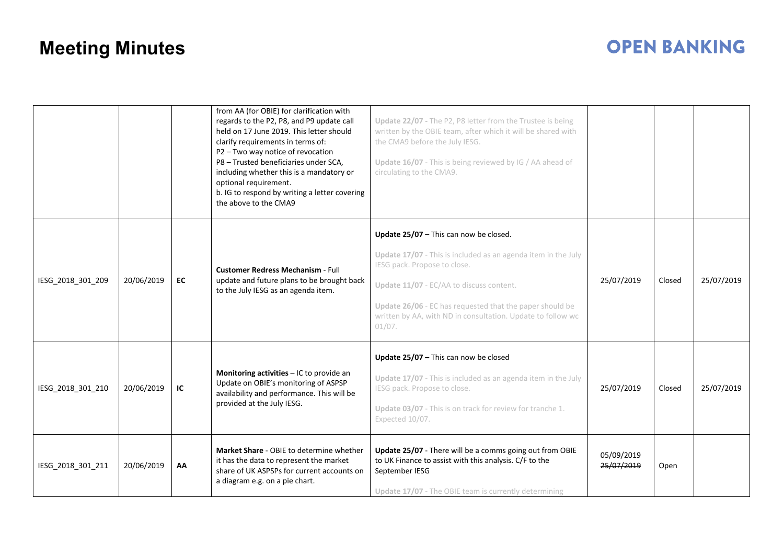|                   |            |    | from AA (for OBIE) for clarification with<br>regards to the P2, P8, and P9 update call<br>held on 17 June 2019. This letter should<br>clarify requirements in terms of:<br>P2-Two way notice of revocation<br>P8 - Trusted beneficiaries under SCA,<br>including whether this is a mandatory or<br>optional requirement.<br>b. IG to respond by writing a letter covering<br>the above to the CMA9 | Update 22/07 - The P2, P8 letter from the Trustee is being<br>written by the OBIE team, after which it will be shared with<br>the CMA9 before the July IESG.<br>Update 16/07 - This is being reviewed by IG / AA ahead of<br>circulating to the CMA9.                                                                      |                          |        |            |
|-------------------|------------|----|----------------------------------------------------------------------------------------------------------------------------------------------------------------------------------------------------------------------------------------------------------------------------------------------------------------------------------------------------------------------------------------------------|----------------------------------------------------------------------------------------------------------------------------------------------------------------------------------------------------------------------------------------------------------------------------------------------------------------------------|--------------------------|--------|------------|
| IESG 2018 301 209 | 20/06/2019 | EC | <b>Customer Redress Mechanism - Full</b><br>update and future plans to be brought back<br>to the July IESG as an agenda item.                                                                                                                                                                                                                                                                      | Update $25/07$ – This can now be closed.<br>Update 17/07 - This is included as an agenda item in the July<br>IESG pack. Propose to close.<br>Update 11/07 - EC/AA to discuss content.<br>Update 26/06 - EC has requested that the paper should be<br>written by AA, with ND in consultation. Update to follow wc<br>01/07. | 25/07/2019               | Closed | 25/07/2019 |
| IESG 2018 301 210 | 20/06/2019 | IC | Monitoring activities - IC to provide an<br>Update on OBIE's monitoring of ASPSP<br>availability and performance. This will be<br>provided at the July IESG.                                                                                                                                                                                                                                       | Update 25/07 - This can now be closed<br>Update 17/07 - This is included as an agenda item in the July<br>IESG pack. Propose to close.<br>Update 03/07 - This is on track for review for tranche 1.<br>Expected 10/07.                                                                                                     | 25/07/2019               | Closed | 25/07/2019 |
| IESG 2018 301 211 | 20/06/2019 | AA | Market Share - OBIE to determine whether<br>it has the data to represent the market<br>share of UK ASPSPs for current accounts on<br>a diagram e.g. on a pie chart.                                                                                                                                                                                                                                | Update 25/07 - There will be a comms going out from OBIE<br>to UK Finance to assist with this analysis. C/F to the<br>September IESG<br>Update 17/07 - The OBIE team is currently determining                                                                                                                              | 05/09/2019<br>25/07/2019 | Open   |            |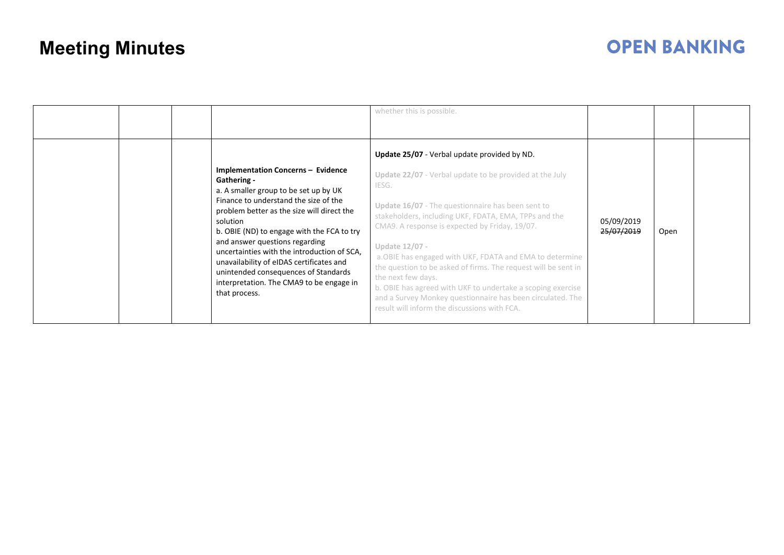|  |                                                                                                                                                                                                                                                                                                                                                                                                                                                                                      | whether this is possible.                                                                                                                                                                                                                                                                                                                                                                                                                                                                                                                                                                                                           |                          |      |  |
|--|--------------------------------------------------------------------------------------------------------------------------------------------------------------------------------------------------------------------------------------------------------------------------------------------------------------------------------------------------------------------------------------------------------------------------------------------------------------------------------------|-------------------------------------------------------------------------------------------------------------------------------------------------------------------------------------------------------------------------------------------------------------------------------------------------------------------------------------------------------------------------------------------------------------------------------------------------------------------------------------------------------------------------------------------------------------------------------------------------------------------------------------|--------------------------|------|--|
|  | <b>Implementation Concerns - Evidence</b><br>Gathering -<br>a. A smaller group to be set up by UK<br>Finance to understand the size of the<br>problem better as the size will direct the<br>solution<br>b. OBIE (ND) to engage with the FCA to try<br>and answer questions regarding<br>uncertainties with the introduction of SCA,<br>unavailability of eIDAS certificates and<br>unintended consequences of Standards<br>interpretation. The CMA9 to be engage in<br>that process. | Update 25/07 - Verbal update provided by ND.<br>Update 22/07 - Verbal update to be provided at the July<br>IESG.<br>Update 16/07 - The questionnaire has been sent to<br>stakeholders, including UKF, FDATA, EMA, TPPs and the<br>CMA9. A response is expected by Friday, 19/07.<br>Update 12/07 -<br>a. OBIE has engaged with UKF, FDATA and EMA to determine<br>the question to be asked of firms. The request will be sent in<br>the next few days.<br>b. OBIE has agreed with UKF to undertake a scoping exercise<br>and a Survey Monkey questionnaire has been circulated. The<br>result will inform the discussions with FCA. | 05/09/2019<br>25/07/2019 | Open |  |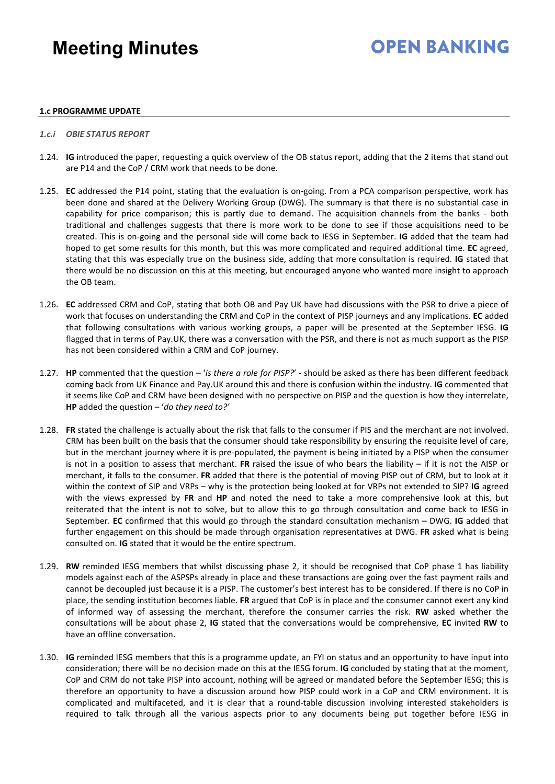### **OPEN RANKING**

#### **1.c PROGRAMME UPDATE**

- *1.c.i OBIE STATUS REPORT*
- 1.24. **IG** introduced the paper, requesting a quick overview of the OB status report, adding that the 2 items that stand out are P14 and the CoP / CRM work that needs to be done.
- 1.25. **EC** addressed the P14 point, stating that the evaluation is on-going. From a PCA comparison perspective, work has been done and shared at the Delivery Working Group (DWG). The summary is that there is no substantial case in capability for price comparison; this is partly due to demand. The acquisition channels from the banks - both traditional and challenges suggests that there is more work to be done to see if those acquisitions need to be created. This is on-going and the personal side will come back to IESG in September. **IG** added that the team had hoped to get some results for this month, but this was more complicated and required additional time. **EC** agreed, stating that this was especially true on the business side, adding that more consultation is required. **IG** stated that there would be no discussion on this at this meeting, but encouraged anyone who wanted more insight to approach the OB team.
- 1.26. **EC** addressed CRM and CoP, stating that both OB and Pay UK have had discussions with the PSR to drive a piece of work that focuses on understanding the CRM and CoP in the context of PISP journeys and any implications. **EC** added that following consultations with various working groups, a paper will be presented at the September IESG. **IG** flagged that in terms of Pay.UK, there was a conversation with the PSR, and there is not as much support as the PISP has not been considered within a CRM and CoP journey.
- 1.27. **HP** commented that the question '*is there a role for PISP?*' should be asked as there has been different feedback coming back from UK Finance and Pay.UK around this and there is confusion within the industry. **IG** commented that it seems like CoP and CRM have been designed with no perspective on PISP and the question is how they interrelate, **HP** added the question – '*do they need to?'*
- 1.28. **FR** stated the challenge is actually about the risk that falls to the consumer if PIS and the merchant are not involved. CRM has been built on the basis that the consumer should take responsibility by ensuring the requisite level of care, but in the merchant journey where it is pre-populated, the payment is being initiated by a PISP when the consumer is not in a position to assess that merchant. **FR** raised the issue of who bears the liability – if it is not the AISP or merchant, it falls to the consumer. **FR** added that there is the potential of moving PISP out of CRM, but to look at it within the context of SIP and VRPs – why is the protection being looked at for VRPs not extended to SIP? **IG** agreed with the views expressed by **FR** and **HP** and noted the need to take a more comprehensive look at this, but reiterated that the intent is not to solve, but to allow this to go through consultation and come back to IESG in September. **EC** confirmed that this would go through the standard consultation mechanism – DWG. **IG** added that further engagement on this should be made through organisation representatives at DWG. **FR** asked what is being consulted on. **IG** stated that it would be the entire spectrum.
- 1.29. **RW** reminded IESG members that whilst discussing phase 2, it should be recognised that CoP phase 1 has liability models against each of the ASPSPs already in place and these transactions are going over the fast payment rails and cannot be decoupled just because it is a PISP. The customer's best interest has to be considered. If there is no CoP in place, the sending institution becomes liable. **FR** argued that CoP is in place and the consumer cannot exert any kind of informed way of assessing the merchant, therefore the consumer carries the risk. **RW** asked whether the consultations will be about phase 2, **IG** stated that the conversations would be comprehensive, **EC** invited **RW** to have an offline conversation.
- 1.30. **IG** reminded IESG members that this is a programme update, an FYI on status and an opportunity to have input into consideration; there will be no decision made on this at the IESG forum. **IG** concluded by stating that at the moment, CoP and CRM do not take PISP into account, nothing will be agreed or mandated before the September IESG; this is therefore an opportunity to have a discussion around how PISP could work in a CoP and CRM environment. It is complicated and multifaceted, and it is clear that a round-table discussion involving interested stakeholders is required to talk through all the various aspects prior to any documents being put together before IESG in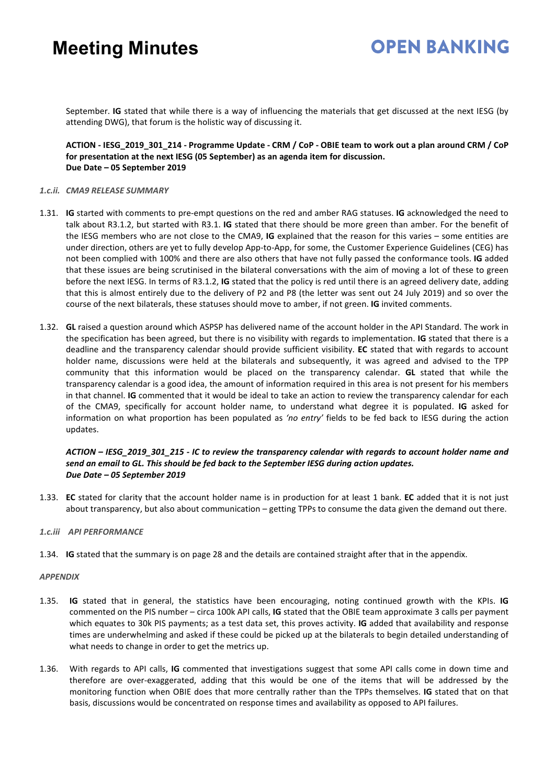### **OPEN BANKING**

September. **IG** stated that while there is a way of influencing the materials that get discussed at the next IESG (by attending DWG), that forum is the holistic way of discussing it.

**ACTION - IESG\_2019\_301\_214 - Programme Update - CRM / CoP - OBIE team to work out a plan around CRM / CoP for presentation at the next IESG (05 September) as an agenda item for discussion. Due Date – 05 September 2019** 

#### *1.c.ii. CMA9 RELEASE SUMMARY*

- 1.31. **IG** started with comments to pre-empt questions on the red and amber RAG statuses. **IG** acknowledged the need to talk about R3.1.2, but started with R3.1. **IG** stated that there should be more green than amber. For the benefit of the IESG members who are not close to the CMA9, **IG** explained that the reason for this varies – some entities are under direction, others are yet to fully develop App-to-App, for some, the Customer Experience Guidelines (CEG) has not been complied with 100% and there are also others that have not fully passed the conformance tools. **IG** added that these issues are being scrutinised in the bilateral conversations with the aim of moving a lot of these to green before the next IESG. In terms of R3.1.2, **IG** stated that the policy is red until there is an agreed delivery date, adding that this is almost entirely due to the delivery of P2 and P8 (the letter was sent out 24 July 2019) and so over the course of the next bilaterals, these statuses should move to amber, if not green. **IG** invited comments.
- 1.32. **GL** raised a question around which ASPSP has delivered name of the account holder in the API Standard. The work in the specification has been agreed, but there is no visibility with regards to implementation. **IG** stated that there is a deadline and the transparency calendar should provide sufficient visibility. **EC** stated that with regards to account holder name, discussions were held at the bilaterals and subsequently, it was agreed and advised to the TPP community that this information would be placed on the transparency calendar. **GL** stated that while the transparency calendar is a good idea, the amount of information required in this area is not present for his members in that channel. **IG** commented that it would be ideal to take an action to review the transparency calendar for each of the CMA9, specifically for account holder name, to understand what degree it is populated. **IG** asked for information on what proportion has been populated as *'no entry'* fields to be fed back to IESG during the action updates.

*ACTION – IESG\_2019\_301\_215 - IC to review the transparency calendar with regards to account holder name and send an email to GL. This should be fed back to the September IESG during action updates. Due Date – 05 September 2019*

- 1.33. **EC** stated for clarity that the account holder name is in production for at least 1 bank. **EC** added that it is not just about transparency, but also about communication – getting TPPs to consume the data given the demand out there.
- *1.c.iii API PERFORMANCE*
- 1.34. **IG** stated that the summary is on page 28 and the details are contained straight after that in the appendix.

#### *APPENDIX*

- 1.35. **IG** stated that in general, the statistics have been encouraging, noting continued growth with the KPIs. **IG** commented on the PIS number – circa 100k API calls, **IG** stated that the OBIE team approximate 3 calls per payment which equates to 30k PIS payments; as a test data set, this proves activity. **IG** added that availability and response times are underwhelming and asked if these could be picked up at the bilaterals to begin detailed understanding of what needs to change in order to get the metrics up.
- 1.36. With regards to API calls, **IG** commented that investigations suggest that some API calls come in down time and therefore are over-exaggerated, adding that this would be one of the items that will be addressed by the monitoring function when OBIE does that more centrally rather than the TPPs themselves. **IG** stated that on that basis, discussions would be concentrated on response times and availability as opposed to API failures.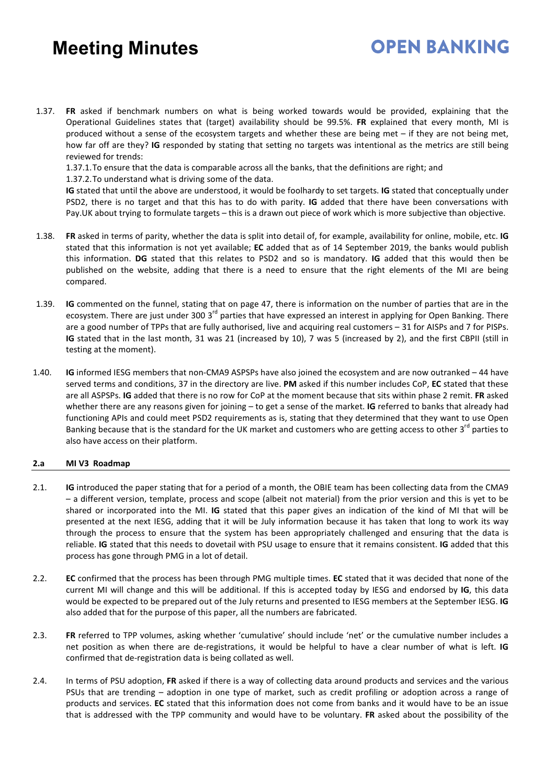1.37. **FR** asked if benchmark numbers on what is being worked towards would be provided, explaining that the Operational Guidelines states that (target) availability should be 99.5%. **FR** explained that every month, MI is produced without a sense of the ecosystem targets and whether these are being met – if they are not being met, how far off are they? **IG** responded by stating that setting no targets was intentional as the metrics are still being reviewed for trends:

1.37.1.To ensure that the data is comparable across all the banks, that the definitions are right; and

1.37.2.To understand what is driving some of the data.

**IG** stated that until the above are understood, it would be foolhardy to set targets. **IG** stated that conceptually under PSD2, there is no target and that this has to do with parity. **IG** added that there have been conversations with Pay.UK about trying to formulate targets – this is a drawn out piece of work which is more subjective than objective.

**OPEN BANKING** 

- 1.38. **FR** asked in terms of parity, whether the data is split into detail of, for example, availability for online, mobile, etc. **IG** stated that this information is not yet available; **EC** added that as of 14 September 2019, the banks would publish this information. **DG** stated that this relates to PSD2 and so is mandatory. **IG** added that this would then be published on the website, adding that there is a need to ensure that the right elements of the MI are being compared.
- 1.39. **IG** commented on the funnel, stating that on page 47, there is information on the number of parties that are in the ecosystem. There are just under 300 3<sup>rd</sup> parties that have expressed an interest in applying for Open Banking. There are a good number of TPPs that are fully authorised, live and acquiring real customers – 31 for AISPs and 7 for PISPs. **IG** stated that in the last month, 31 was 21 (increased by 10), 7 was 5 (increased by 2), and the first CBPII (still in testing at the moment).
- 1.40. **IG** informed IESG members that non-CMA9 ASPSPs have also joined the ecosystem and are now outranked 44 have served terms and conditions, 37 in the directory are live. **PM** asked if this number includes CoP, **EC** stated that these are all ASPSPs. **IG** added that there is no row for CoP at the moment because that sits within phase 2 remit. **FR** asked whether there are any reasons given for joining – to get a sense of the market. **IG** referred to banks that already had functioning APIs and could meet PSD2 requirements as is, stating that they determined that they want to use Open Banking because that is the standard for the UK market and customers who are getting access to other 3<sup>rd</sup> parties to also have access on their platform.

#### **2.a MI V3 Roadmap**

- 2.1. **IG** introduced the paper stating that for a period of a month, the OBIE team has been collecting data from the CMA9 – a different version, template, process and scope (albeit not material) from the prior version and this is yet to be shared or incorporated into the MI. **IG** stated that this paper gives an indication of the kind of MI that will be presented at the next IESG, adding that it will be July information because it has taken that long to work its way through the process to ensure that the system has been appropriately challenged and ensuring that the data is reliable. **IG** stated that this needs to dovetail with PSU usage to ensure that it remains consistent. **IG** added that this process has gone through PMG in a lot of detail.
- 2.2. **EC** confirmed that the process has been through PMG multiple times. **EC** stated that it was decided that none of the current MI will change and this will be additional. If this is accepted today by IESG and endorsed by **IG**, this data would be expected to be prepared out of the July returns and presented to IESG members at the September IESG. **IG** also added that for the purpose of this paper, all the numbers are fabricated.
- 2.3. **FR** referred to TPP volumes, asking whether 'cumulative' should include 'net' or the cumulative number includes a net position as when there are de-registrations, it would be helpful to have a clear number of what is left. **IG** confirmed that de-registration data is being collated as well.
- 2.4. In terms of PSU adoption, **FR** asked if there is a way of collecting data around products and services and the various PSUs that are trending – adoption in one type of market, such as credit profiling or adoption across a range of products and services. **EC** stated that this information does not come from banks and it would have to be an issue that is addressed with the TPP community and would have to be voluntary. **FR** asked about the possibility of the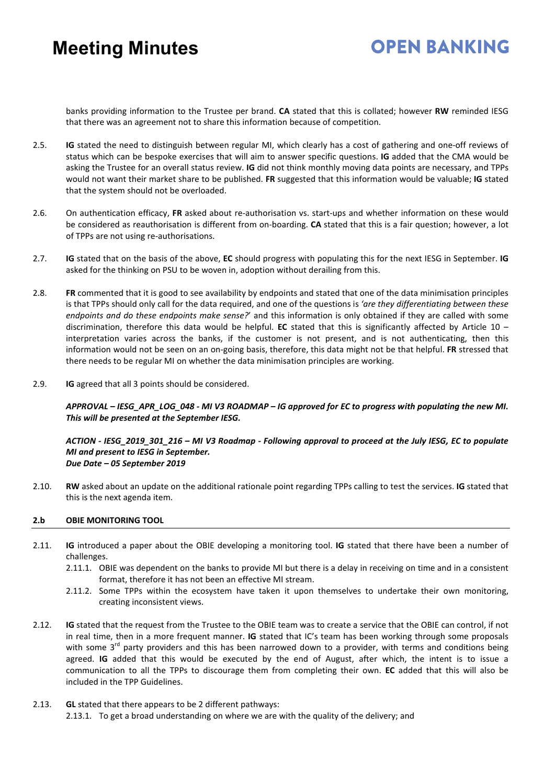### **OPEN BANKING**

banks providing information to the Trustee per brand. **CA** stated that this is collated; however **RW** reminded IESG that there was an agreement not to share this information because of competition.

- 2.5. **IG** stated the need to distinguish between regular MI, which clearly has a cost of gathering and one-off reviews of status which can be bespoke exercises that will aim to answer specific questions. **IG** added that the CMA would be asking the Trustee for an overall status review. **IG** did not think monthly moving data points are necessary, and TPPs would not want their market share to be published. **FR** suggested that this information would be valuable; **IG** stated that the system should not be overloaded.
- 2.6. On authentication efficacy, **FR** asked about re-authorisation vs. start-ups and whether information on these would be considered as reauthorisation is different from on-boarding. **CA** stated that this is a fair question; however, a lot of TPPs are not using re-authorisations.
- 2.7. **IG** stated that on the basis of the above, **EC** should progress with populating this for the next IESG in September. **IG** asked for the thinking on PSU to be woven in, adoption without derailing from this.
- 2.8. **FR** commented that it is good to see availability by endpoints and stated that one of the data minimisation principles is that TPPs should only call for the data required, and one of the questions is *'are they differentiating between these endpoints and do these endpoints make sense?*' and this information is only obtained if they are called with some discrimination, therefore this data would be helpful. **EC** stated that this is significantly affected by Article 10 – interpretation varies across the banks, if the customer is not present, and is not authenticating, then this information would not be seen on an on-going basis, therefore, this data might not be that helpful. **FR** stressed that there needs to be regular MI on whether the data minimisation principles are working.
- 2.9. **IG** agreed that all 3 points should be considered.

*APPROVAL – IESG\_APR\_LOG\_048 - MI V3 ROADMAP – IG approved for EC to progress with populating the new MI. This will be presented at the September IESG.*

#### *ACTION - IESG\_2019\_301\_216 – MI V3 Roadmap - Following approval to proceed at the July IESG, EC to populate MI and present to IESG in September. Due Date – 05 September 2019*

2.10. **RW** asked about an update on the additional rationale point regarding TPPs calling to test the services. **IG** stated that this is the next agenda item.

#### **2.b OBIE MONITORING TOOL**

- 2.11. **IG** introduced a paper about the OBIE developing a monitoring tool. **IG** stated that there have been a number of challenges.
	- 2.11.1. OBIE was dependent on the banks to provide MI but there is a delay in receiving on time and in a consistent format, therefore it has not been an effective MI stream.
	- 2.11.2. Some TPPs within the ecosystem have taken it upon themselves to undertake their own monitoring, creating inconsistent views.
- 2.12. **IG** stated that the request from the Trustee to the OBIE team was to create a service that the OBIE can control, if not in real time, then in a more frequent manner. **IG** stated that IC's team has been working through some proposals with some 3<sup>rd</sup> party providers and this has been narrowed down to a provider, with terms and conditions being agreed. **IG** added that this would be executed by the end of August, after which, the intent is to issue a communication to all the TPPs to discourage them from completing their own. **EC** added that this will also be included in the TPP Guidelines.
- 2.13. **GL** stated that there appears to be 2 different pathways: 2.13.1. To get a broad understanding on where we are with the quality of the delivery; and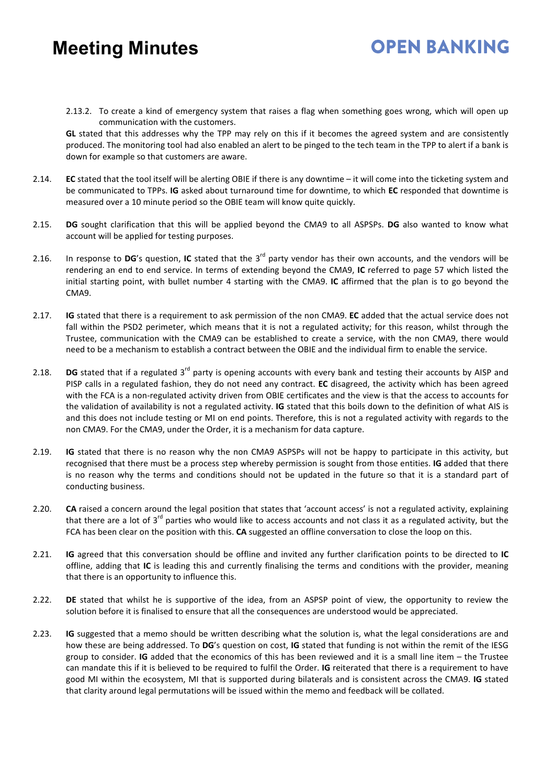2.13.2. To create a kind of emergency system that raises a flag when something goes wrong, which will open up communication with the customers.

**OPEN BANKING** 

**GL** stated that this addresses why the TPP may rely on this if it becomes the agreed system and are consistently produced. The monitoring tool had also enabled an alert to be pinged to the tech team in the TPP to alert if a bank is down for example so that customers are aware.

- 2.14. **EC** stated that the tool itself will be alerting OBIE if there is any downtime it will come into the ticketing system and be communicated to TPPs. **IG** asked about turnaround time for downtime, to which **EC** responded that downtime is measured over a 10 minute period so the OBIE team will know quite quickly.
- 2.15. **DG** sought clarification that this will be applied beyond the CMA9 to all ASPSPs. **DG** also wanted to know what account will be applied for testing purposes.
- 2.16. In response to **DG**'s question, **IC** stated that the 3rd party vendor has their own accounts, and the vendors will be rendering an end to end service. In terms of extending beyond the CMA9, **IC** referred to page 57 which listed the initial starting point, with bullet number 4 starting with the CMA9. **IC** affirmed that the plan is to go beyond the CMA9.
- 2.17. **IG** stated that there is a requirement to ask permission of the non CMA9. **EC** added that the actual service does not fall within the PSD2 perimeter, which means that it is not a regulated activity; for this reason, whilst through the Trustee, communication with the CMA9 can be established to create a service, with the non CMA9, there would need to be a mechanism to establish a contract between the OBIE and the individual firm to enable the service.
- 2.18. **DG** stated that if a regulated 3<sup>rd</sup> party is opening accounts with every bank and testing their accounts by AISP and PISP calls in a regulated fashion, they do not need any contract. **EC** disagreed, the activity which has been agreed with the FCA is a non-regulated activity driven from OBIE certificates and the view is that the access to accounts for the validation of availability is not a regulated activity. **IG** stated that this boils down to the definition of what AIS is and this does not include testing or MI on end points. Therefore, this is not a regulated activity with regards to the non CMA9. For the CMA9, under the Order, it is a mechanism for data capture.
- 2.19. **IG** stated that there is no reason why the non CMA9 ASPSPs will not be happy to participate in this activity, but recognised that there must be a process step whereby permission is sought from those entities. **IG** added that there is no reason why the terms and conditions should not be updated in the future so that it is a standard part of conducting business.
- 2.20. **CA** raised a concern around the legal position that states that 'account access' is not a regulated activity, explaining that there are a lot of 3<sup>rd</sup> parties who would like to access accounts and not class it as a regulated activity, but the FCA has been clear on the position with this. **CA** suggested an offline conversation to close the loop on this.
- 2.21. **IG** agreed that this conversation should be offline and invited any further clarification points to be directed to **IC** offline, adding that **IC** is leading this and currently finalising the terms and conditions with the provider, meaning that there is an opportunity to influence this.
- 2.22. **DE** stated that whilst he is supportive of the idea, from an ASPSP point of view, the opportunity to review the solution before it is finalised to ensure that all the consequences are understood would be appreciated.
- 2.23. **IG** suggested that a memo should be written describing what the solution is, what the legal considerations are and how these are being addressed. To **DG**'s question on cost, **IG** stated that funding is not within the remit of the IESG group to consider. **IG** added that the economics of this has been reviewed and it is a small line item – the Trustee can mandate this if it is believed to be required to fulfil the Order. **IG** reiterated that there is a requirement to have good MI within the ecosystem, MI that is supported during bilaterals and is consistent across the CMA9. **IG** stated that clarity around legal permutations will be issued within the memo and feedback will be collated.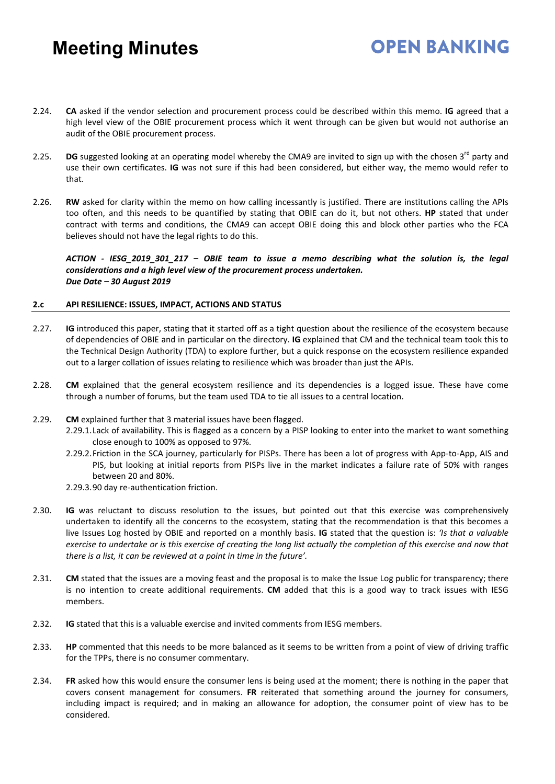2.24. **CA** asked if the vendor selection and procurement process could be described within this memo. **IG** agreed that a high level view of the OBIE procurement process which it went through can be given but would not authorise an audit of the OBIE procurement process.

**OPEN BANKING** 

- 2.25. **DG** suggested looking at an operating model whereby the CMA9 are invited to sign up with the chosen 3<sup>rd</sup> party and use their own certificates. **IG** was not sure if this had been considered, but either way, the memo would refer to that.
- 2.26. **RW** asked for clarity within the memo on how calling incessantly is justified. There are institutions calling the APIs too often, and this needs to be quantified by stating that OBIE can do it, but not others. **HP** stated that under contract with terms and conditions, the CMA9 can accept OBIE doing this and block other parties who the FCA believes should not have the legal rights to do this.

*ACTION - IESG\_2019\_301\_217 – OBIE team to issue a memo describing what the solution is, the legal considerations and a high level view of the procurement process undertaken. Due Date – 30 August 2019* 

#### **2.c API RESILIENCE: ISSUES, IMPACT, ACTIONS AND STATUS**

- 2.27. **IG** introduced this paper, stating that it started off as a tight question about the resilience of the ecosystem because of dependencies of OBIE and in particular on the directory. **IG** explained that CM and the technical team took this to the Technical Design Authority (TDA) to explore further, but a quick response on the ecosystem resilience expanded out to a larger collation of issues relating to resilience which was broader than just the APIs.
- 2.28. **CM** explained that the general ecosystem resilience and its dependencies is a logged issue. These have come through a number of forums, but the team used TDA to tie all issues to a central location.
- 2.29. **CM** explained further that 3 material issues have been flagged.
	- 2.29.1.Lack of availability. This is flagged as a concern by a PISP looking to enter into the market to want something close enough to 100% as opposed to 97%.
	- 2.29.2.Friction in the SCA journey, particularly for PISPs. There has been a lot of progress with App-to-App, AIS and PIS, but looking at initial reports from PISPs live in the market indicates a failure rate of 50% with ranges between 20 and 80%.
	- 2.29.3.90 day re-authentication friction.
- 2.30. **IG** was reluctant to discuss resolution to the issues, but pointed out that this exercise was comprehensively undertaken to identify all the concerns to the ecosystem, stating that the recommendation is that this becomes a live Issues Log hosted by OBIE and reported on a monthly basis. **IG** stated that the question is: *'Is that a valuable exercise to undertake or is this exercise of creating the long list actually the completion of this exercise and now that there is a list, it can be reviewed at a point in time in the future'.*
- 2.31. **CM** stated that the issues are a moving feast and the proposal is to make the Issue Log public for transparency; there is no intention to create additional requirements. **CM** added that this is a good way to track issues with IESG members.
- 2.32. **IG** stated that this is a valuable exercise and invited comments from IESG members.
- 2.33. **HP** commented that this needs to be more balanced as it seems to be written from a point of view of driving traffic for the TPPs, there is no consumer commentary.
- 2.34. **FR** asked how this would ensure the consumer lens is being used at the moment; there is nothing in the paper that covers consent management for consumers. **FR** reiterated that something around the journey for consumers, including impact is required; and in making an allowance for adoption, the consumer point of view has to be considered.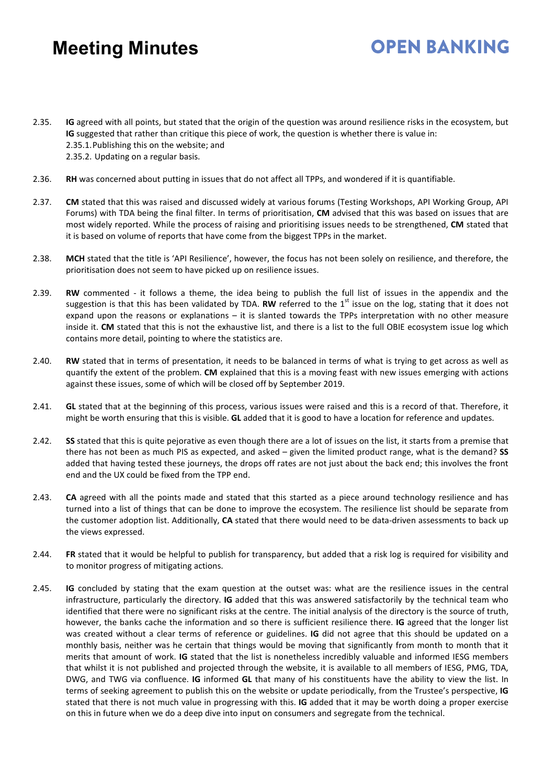2.35. **IG** agreed with all points, but stated that the origin of the question was around resilience risks in the ecosystem, but **IG** suggested that rather than critique this piece of work, the question is whether there is value in: 2.35.1.Publishing this on the website; and 2.35.2. Updating on a regular basis.

- 2.36. **RH** was concerned about putting in issues that do not affect all TPPs, and wondered if it is quantifiable.
- 2.37. **CM** stated that this was raised and discussed widely at various forums (Testing Workshops, API Working Group, API Forums) with TDA being the final filter. In terms of prioritisation, **CM** advised that this was based on issues that are most widely reported. While the process of raising and prioritising issues needs to be strengthened, **CM** stated that it is based on volume of reports that have come from the biggest TPPs in the market.
- 2.38. **MCH** stated that the title is 'API Resilience', however, the focus has not been solely on resilience, and therefore, the prioritisation does not seem to have picked up on resilience issues.
- 2.39. **RW** commented it follows a theme, the idea being to publish the full list of issues in the appendix and the suggestion is that this has been validated by TDA. RW referred to the 1<sup>st</sup> issue on the log, stating that it does not expand upon the reasons or explanations – it is slanted towards the TPPs interpretation with no other measure inside it. **CM** stated that this is not the exhaustive list, and there is a list to the full OBIE ecosystem issue log which contains more detail, pointing to where the statistics are.
- 2.40. **RW** stated that in terms of presentation, it needs to be balanced in terms of what is trying to get across as well as quantify the extent of the problem. **CM** explained that this is a moving feast with new issues emerging with actions against these issues, some of which will be closed off by September 2019.
- 2.41. **GL** stated that at the beginning of this process, various issues were raised and this is a record of that. Therefore, it might be worth ensuring that this is visible. **GL** added that it is good to have a location for reference and updates.
- 2.42. **SS** stated that this is quite pejorative as even though there are a lot of issues on the list, it starts from a premise that there has not been as much PIS as expected, and asked – given the limited product range, what is the demand? **SS**  added that having tested these journeys, the drops off rates are not just about the back end; this involves the front end and the UX could be fixed from the TPP end.
- 2.43. **CA** agreed with all the points made and stated that this started as a piece around technology resilience and has turned into a list of things that can be done to improve the ecosystem. The resilience list should be separate from the customer adoption list. Additionally, **CA** stated that there would need to be data-driven assessments to back up the views expressed.
- 2.44. **FR** stated that it would be helpful to publish for transparency, but added that a risk log is required for visibility and to monitor progress of mitigating actions.
- 2.45. **IG** concluded by stating that the exam question at the outset was: what are the resilience issues in the central infrastructure, particularly the directory. **IG** added that this was answered satisfactorily by the technical team who identified that there were no significant risks at the centre. The initial analysis of the directory is the source of truth, however, the banks cache the information and so there is sufficient resilience there. **IG** agreed that the longer list was created without a clear terms of reference or guidelines. **IG** did not agree that this should be updated on a monthly basis, neither was he certain that things would be moving that significantly from month to month that it merits that amount of work. **IG** stated that the list is nonetheless incredibly valuable and informed IESG members that whilst it is not published and projected through the website, it is available to all members of IESG, PMG, TDA, DWG, and TWG via confluence. **IG** informed **GL** that many of his constituents have the ability to view the list. In terms of seeking agreement to publish this on the website or update periodically, from the Trustee's perspective, **IG** stated that there is not much value in progressing with this. **IG** added that it may be worth doing a proper exercise on this in future when we do a deep dive into input on consumers and segregate from the technical.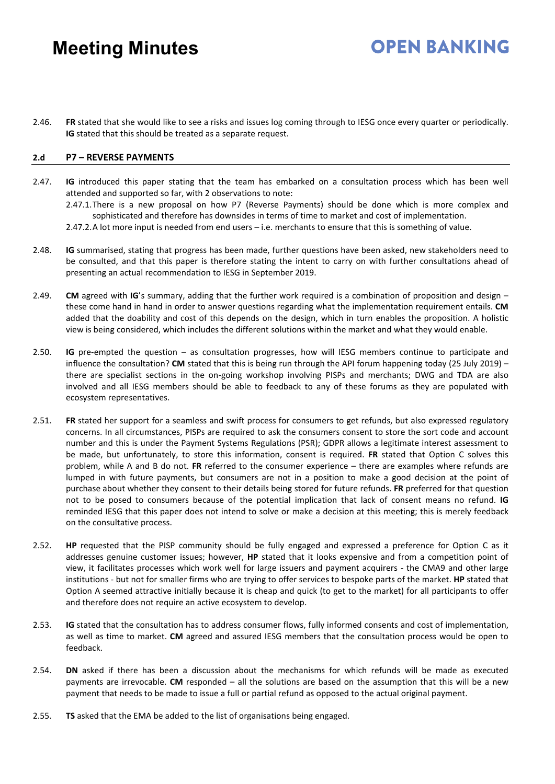2.46. **FR** stated that she would like to see a risks and issues log coming through to IESG once every quarter or periodically. **IG** stated that this should be treated as a separate request.

**OPEN RANKING** 

#### **2.d P7 – REVERSE PAYMENTS**

- 2.47. **IG** introduced this paper stating that the team has embarked on a consultation process which has been well attended and supported so far, with 2 observations to note: 2.47.1.There is a new proposal on how P7 (Reverse Payments) should be done which is more complex and sophisticated and therefore has downsides in terms of time to market and cost of implementation. 2.47.2.A lot more input is needed from end users – i.e. merchants to ensure that this is something of value.
- 2.48. **IG** summarised, stating that progress has been made, further questions have been asked, new stakeholders need to be consulted, and that this paper is therefore stating the intent to carry on with further consultations ahead of presenting an actual recommendation to IESG in September 2019.
- 2.49. **CM** agreed with **IG**'s summary, adding that the further work required is a combination of proposition and design these come hand in hand in order to answer questions regarding what the implementation requirement entails. **CM** added that the doability and cost of this depends on the design, which in turn enables the proposition. A holistic view is being considered, which includes the different solutions within the market and what they would enable.
- 2.50. **IG** pre-empted the question as consultation progresses, how will IESG members continue to participate and influence the consultation? **CM** stated that this is being run through the API forum happening today (25 July 2019) – there are specialist sections in the on-going workshop involving PISPs and merchants; DWG and TDA are also involved and all IESG members should be able to feedback to any of these forums as they are populated with ecosystem representatives.
- 2.51. **FR** stated her support for a seamless and swift process for consumers to get refunds, but also expressed regulatory concerns. In all circumstances, PISPs are required to ask the consumers consent to store the sort code and account number and this is under the Payment Systems Regulations (PSR); GDPR allows a legitimate interest assessment to be made, but unfortunately, to store this information, consent is required. **FR** stated that Option C solves this problem, while A and B do not. **FR** referred to the consumer experience – there are examples where refunds are lumped in with future payments, but consumers are not in a position to make a good decision at the point of purchase about whether they consent to their details being stored for future refunds. **FR** preferred for that question not to be posed to consumers because of the potential implication that lack of consent means no refund. **IG** reminded IESG that this paper does not intend to solve or make a decision at this meeting; this is merely feedback on the consultative process.
- 2.52. **HP** requested that the PISP community should be fully engaged and expressed a preference for Option C as it addresses genuine customer issues; however, **HP** stated that it looks expensive and from a competition point of view, it facilitates processes which work well for large issuers and payment acquirers - the CMA9 and other large institutions - but not for smaller firms who are trying to offer services to bespoke parts of the market. **HP** stated that Option A seemed attractive initially because it is cheap and quick (to get to the market) for all participants to offer and therefore does not require an active ecosystem to develop.
- 2.53. **IG** stated that the consultation has to address consumer flows, fully informed consents and cost of implementation, as well as time to market. **CM** agreed and assured IESG members that the consultation process would be open to feedback.
- 2.54. **DN** asked if there has been a discussion about the mechanisms for which refunds will be made as executed payments are irrevocable. **CM** responded – all the solutions are based on the assumption that this will be a new payment that needs to be made to issue a full or partial refund as opposed to the actual original payment.
- 2.55. **TS** asked that the EMA be added to the list of organisations being engaged.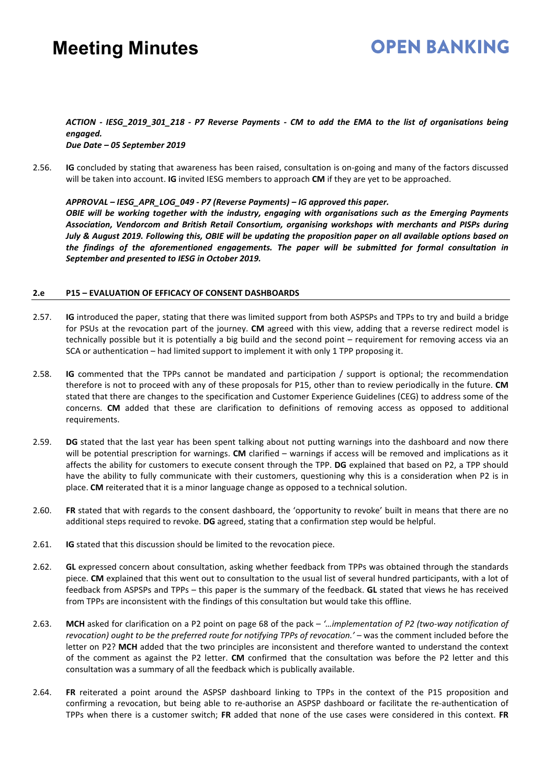### **OPEN RANKING**

#### *ACTION - IESG\_2019\_301\_218 - P7 Reverse Payments - CM to add the EMA to the list of organisations being engaged. Due Date – 05 September 2019*

2.56. **IG** concluded by stating that awareness has been raised, consultation is on-going and many of the factors discussed will be taken into account. **IG** invited IESG members to approach **CM** if they are yet to be approached.

*APPROVAL – IESG\_APR\_LOG\_049 - P7 (Reverse Payments) – IG approved this paper. OBIE will be working together with the industry, engaging with organisations such as the Emerging Payments Association, Vendorcom and British Retail Consortium, organising workshops with merchants and PISPs during July & August 2019. Following this, OBIE will be updating the proposition paper on all available options based on the findings of the aforementioned engagements. The paper will be submitted for formal consultation in September and presented to IESG in October 2019.*

#### **2.e P15 – EVALUATION OF EFFICACY OF CONSENT DASHBOARDS**

- 2.57. **IG** introduced the paper, stating that there was limited support from both ASPSPs and TPPs to try and build a bridge for PSUs at the revocation part of the journey. **CM** agreed with this view, adding that a reverse redirect model is technically possible but it is potentially a big build and the second point – requirement for removing access via an SCA or authentication – had limited support to implement it with only 1 TPP proposing it.
- 2.58. **IG** commented that the TPPs cannot be mandated and participation / support is optional; the recommendation therefore is not to proceed with any of these proposals for P15, other than to review periodically in the future. **CM** stated that there are changes to the specification and Customer Experience Guidelines (CEG) to address some of the concerns. **CM** added that these are clarification to definitions of removing access as opposed to additional requirements.
- 2.59. **DG** stated that the last year has been spent talking about not putting warnings into the dashboard and now there will be potential prescription for warnings. **CM** clarified – warnings if access will be removed and implications as it affects the ability for customers to execute consent through the TPP. **DG** explained that based on P2, a TPP should have the ability to fully communicate with their customers, questioning why this is a consideration when P2 is in place. **CM** reiterated that it is a minor language change as opposed to a technical solution.
- 2.60. **FR** stated that with regards to the consent dashboard, the 'opportunity to revoke' built in means that there are no additional steps required to revoke. **DG** agreed, stating that a confirmation step would be helpful.
- 2.61. **IG** stated that this discussion should be limited to the revocation piece.
- 2.62. **GL** expressed concern about consultation, asking whether feedback from TPPs was obtained through the standards piece. **CM** explained that this went out to consultation to the usual list of several hundred participants, with a lot of feedback from ASPSPs and TPPs – this paper is the summary of the feedback. **GL** stated that views he has received from TPPs are inconsistent with the findings of this consultation but would take this offline.
- 2.63. **MCH** asked for clarification on a P2 point on page 68 of the pack *'…implementation of P2 (two-way notification of revocation) ought to be the preferred route for notifying TPPs of revocation.'* – was the comment included before the letter on P2? **MCH** added that the two principles are inconsistent and therefore wanted to understand the context of the comment as against the P2 letter. **CM** confirmed that the consultation was before the P2 letter and this consultation was a summary of all the feedback which is publically available.
- 2.64. **FR** reiterated a point around the ASPSP dashboard linking to TPPs in the context of the P15 proposition and confirming a revocation, but being able to re-authorise an ASPSP dashboard or facilitate the re-authentication of TPPs when there is a customer switch; **FR** added that none of the use cases were considered in this context. **FR**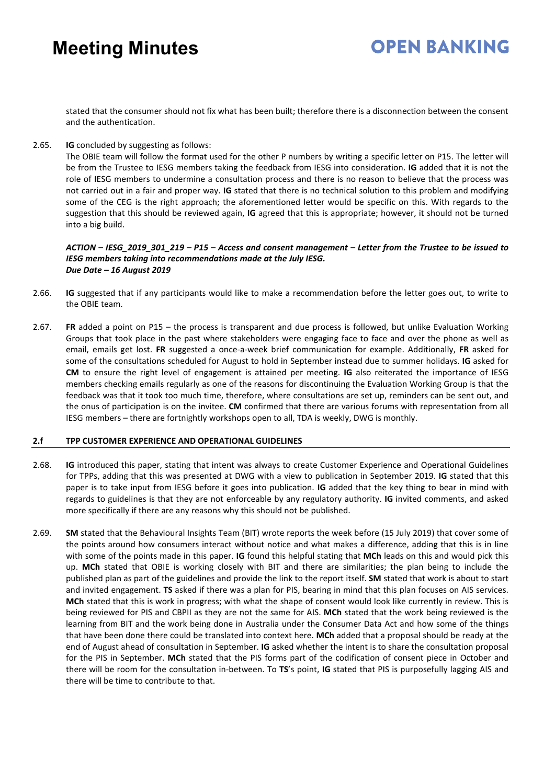### **OPEN BANKING**

stated that the consumer should not fix what has been built; therefore there is a disconnection between the consent and the authentication.

2.65. **IG** concluded by suggesting as follows:

The OBIE team will follow the format used for the other P numbers by writing a specific letter on P15. The letter will be from the Trustee to IESG members taking the feedback from IESG into consideration. **IG** added that it is not the role of IESG members to undermine a consultation process and there is no reason to believe that the process was not carried out in a fair and proper way. **IG** stated that there is no technical solution to this problem and modifying some of the CEG is the right approach; the aforementioned letter would be specific on this. With regards to the suggestion that this should be reviewed again, **IG** agreed that this is appropriate; however, it should not be turned into a big build.

#### *ACTION – IESG\_2019\_301\_219 – P15 – Access and consent management – Letter from the Trustee to be issued to IESG members taking into recommendations made at the July IESG. Due Date – 16 August 2019*

- 2.66. **IG** suggested that if any participants would like to make a recommendation before the letter goes out, to write to the OBIE team.
- 2.67. **FR** added a point on P15 the process is transparent and due process is followed, but unlike Evaluation Working Groups that took place in the past where stakeholders were engaging face to face and over the phone as well as email, emails get lost. **FR** suggested a once-a-week brief communication for example. Additionally, **FR** asked for some of the consultations scheduled for August to hold in September instead due to summer holidays. **IG** asked for **CM** to ensure the right level of engagement is attained per meeting. **IG** also reiterated the importance of IESG members checking emails regularly as one of the reasons for discontinuing the Evaluation Working Group is that the feedback was that it took too much time, therefore, where consultations are set up, reminders can be sent out, and the onus of participation is on the invitee. **CM** confirmed that there are various forums with representation from all IESG members – there are fortnightly workshops open to all, TDA is weekly, DWG is monthly.

#### **2.f TPP CUSTOMER EXPERIENCE AND OPERATIONAL GUIDELINES**

- 2.68. **IG** introduced this paper, stating that intent was always to create Customer Experience and Operational Guidelines for TPPs, adding that this was presented at DWG with a view to publication in September 2019. **IG** stated that this paper is to take input from IESG before it goes into publication. **IG** added that the key thing to bear in mind with regards to guidelines is that they are not enforceable by any regulatory authority. **IG** invited comments, and asked more specifically if there are any reasons why this should not be published.
- 2.69. **SM** stated that the Behavioural Insights Team (BIT) wrote reports the week before (15 July 2019) that cover some of the points around how consumers interact without notice and what makes a difference, adding that this is in line with some of the points made in this paper. **IG** found this helpful stating that **MCh** leads on this and would pick this up. **MCh** stated that OBIE is working closely with BIT and there are similarities; the plan being to include the published plan as part of the guidelines and provide the link to the report itself. **SM** stated that work is about to start and invited engagement. **TS** asked if there was a plan for PIS, bearing in mind that this plan focuses on AIS services. **MCh** stated that this is work in progress; with what the shape of consent would look like currently in review. This is being reviewed for PIS and CBPII as they are not the same for AIS. **MCh** stated that the work being reviewed is the learning from BIT and the work being done in Australia under the Consumer Data Act and how some of the things that have been done there could be translated into context here. **MCh** added that a proposal should be ready at the end of August ahead of consultation in September. **IG** asked whether the intent is to share the consultation proposal for the PIS in September. **MCh** stated that the PIS forms part of the codification of consent piece in October and there will be room for the consultation in-between. To **TS**'s point, **IG** stated that PIS is purposefully lagging AIS and there will be time to contribute to that.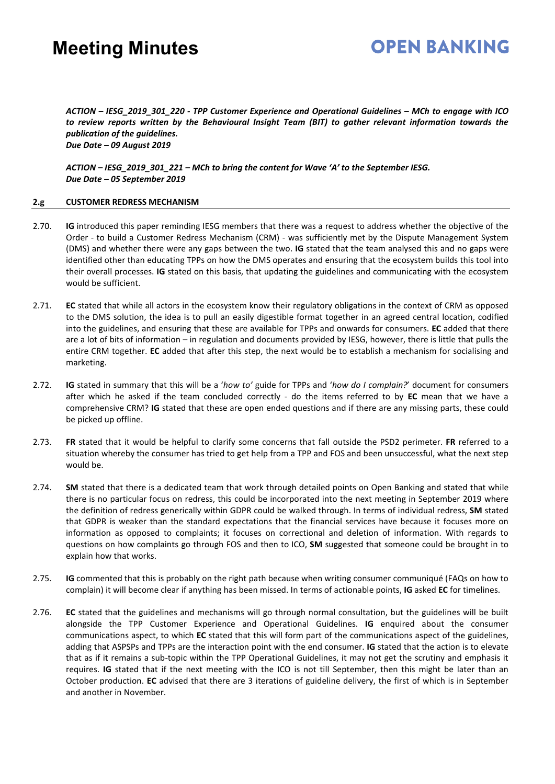### **OPEN RANKING**

*ACTION – IESG\_2019\_301\_220 - TPP Customer Experience and Operational Guidelines – MCh to engage with ICO to review reports written by the Behavioural Insight Team (BIT) to gather relevant information towards the publication of the guidelines. Due Date – 09 August 2019* 

*ACTION – IESG\_2019\_301\_221 – MCh to bring the content for Wave 'A' to the September IESG. Due Date – 05 September 2019*

#### **2.g CUSTOMER REDRESS MECHANISM**

- 2.70. **IG** introduced this paper reminding IESG members that there was a request to address whether the objective of the Order - to build a Customer Redress Mechanism (CRM) - was sufficiently met by the Dispute Management System (DMS) and whether there were any gaps between the two. **IG** stated that the team analysed this and no gaps were identified other than educating TPPs on how the DMS operates and ensuring that the ecosystem builds this tool into their overall processes. **IG** stated on this basis, that updating the guidelines and communicating with the ecosystem would be sufficient.
- 2.71. **EC** stated that while all actors in the ecosystem know their regulatory obligations in the context of CRM as opposed to the DMS solution, the idea is to pull an easily digestible format together in an agreed central location, codified into the guidelines, and ensuring that these are available for TPPs and onwards for consumers. **EC** added that there are a lot of bits of information – in regulation and documents provided by IESG, however, there is little that pulls the entire CRM together. **EC** added that after this step, the next would be to establish a mechanism for socialising and marketing.
- 2.72. **IG** stated in summary that this will be a '*how to'* guide for TPPs and '*how do I complain?*' document for consumers after which he asked if the team concluded correctly - do the items referred to by **EC** mean that we have a comprehensive CRM? **IG** stated that these are open ended questions and if there are any missing parts, these could be picked up offline.
- 2.73. **FR** stated that it would be helpful to clarify some concerns that fall outside the PSD2 perimeter. **FR** referred to a situation whereby the consumer has tried to get help from a TPP and FOS and been unsuccessful, what the next step would be.
- 2.74. **SM** stated that there is a dedicated team that work through detailed points on Open Banking and stated that while there is no particular focus on redress, this could be incorporated into the next meeting in September 2019 where the definition of redress generically within GDPR could be walked through. In terms of individual redress, **SM** stated that GDPR is weaker than the standard expectations that the financial services have because it focuses more on information as opposed to complaints; it focuses on correctional and deletion of information. With regards to questions on how complaints go through FOS and then to ICO, **SM** suggested that someone could be brought in to explain how that works.
- 2.75. **IG** commented that this is probably on the right path because when writing consumer communiqué (FAQs on how to complain) it will become clear if anything has been missed. In terms of actionable points, **IG** asked **EC** for timelines.
- 2.76. **EC** stated that the guidelines and mechanisms will go through normal consultation, but the guidelines will be built alongside the TPP Customer Experience and Operational Guidelines. **IG** enquired about the consumer communications aspect, to which **EC** stated that this will form part of the communications aspect of the guidelines, adding that ASPSPs and TPPs are the interaction point with the end consumer. **IG** stated that the action is to elevate that as if it remains a sub-topic within the TPP Operational Guidelines, it may not get the scrutiny and emphasis it requires. **IG** stated that if the next meeting with the ICO is not till September, then this might be later than an October production. **EC** advised that there are 3 iterations of guideline delivery, the first of which is in September and another in November.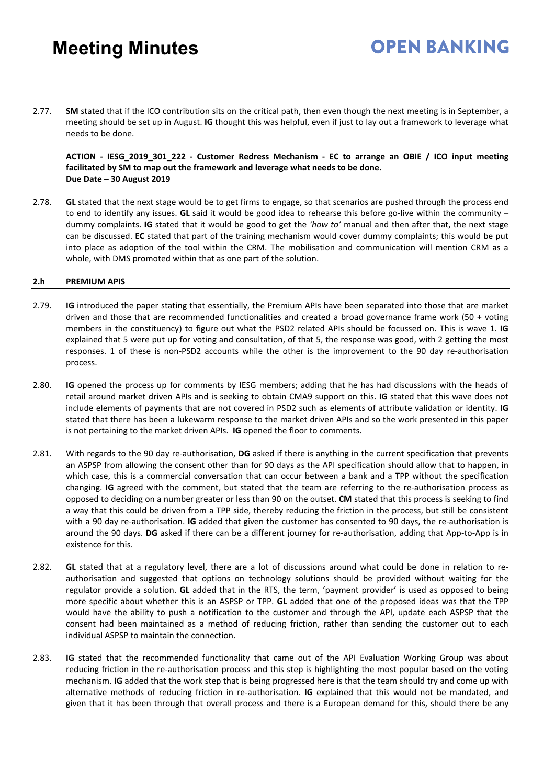2.77. **SM** stated that if the ICO contribution sits on the critical path, then even though the next meeting is in September, a meeting should be set up in August. **IG** thought this was helpful, even if just to lay out a framework to leverage what needs to be done.

**ACTION - IESG\_2019\_301\_222 - Customer Redress Mechanism - EC to arrange an OBIE / ICO input meeting facilitated by SM to map out the framework and leverage what needs to be done. Due Date – 30 August 2019** 

**OPEN BANKING** 

2.78. **GL** stated that the next stage would be to get firms to engage, so that scenarios are pushed through the process end to end to identify any issues. **GL** said it would be good idea to rehearse this before go-live within the community – dummy complaints. **IG** stated that it would be good to get the *'how to'* manual and then after that, the next stage can be discussed. **EC** stated that part of the training mechanism would cover dummy complaints; this would be put into place as adoption of the tool within the CRM. The mobilisation and communication will mention CRM as a whole, with DMS promoted within that as one part of the solution.

#### **2.h PREMIUM APIS**

- 2.79. **IG** introduced the paper stating that essentially, the Premium APIs have been separated into those that are market driven and those that are recommended functionalities and created a broad governance frame work (50 + voting members in the constituency) to figure out what the PSD2 related APIs should be focussed on. This is wave 1. **IG** explained that 5 were put up for voting and consultation, of that 5, the response was good, with 2 getting the most responses. 1 of these is non-PSD2 accounts while the other is the improvement to the 90 day re-authorisation process.
- 2.80. **IG** opened the process up for comments by IESG members; adding that he has had discussions with the heads of retail around market driven APIs and is seeking to obtain CMA9 support on this. **IG** stated that this wave does not include elements of payments that are not covered in PSD2 such as elements of attribute validation or identity. **IG** stated that there has been a lukewarm response to the market driven APIs and so the work presented in this paper is not pertaining to the market driven APIs. **IG** opened the floor to comments.
- 2.81. With regards to the 90 day re-authorisation, **DG** asked if there is anything in the current specification that prevents an ASPSP from allowing the consent other than for 90 days as the API specification should allow that to happen, in which case, this is a commercial conversation that can occur between a bank and a TPP without the specification changing. **IG** agreed with the comment, but stated that the team are referring to the re-authorisation process as opposed to deciding on a number greater or less than 90 on the outset. **CM** stated that this process is seeking to find a way that this could be driven from a TPP side, thereby reducing the friction in the process, but still be consistent with a 90 day re-authorisation. **IG** added that given the customer has consented to 90 days, the re-authorisation is around the 90 days. **DG** asked if there can be a different journey for re-authorisation, adding that App-to-App is in existence for this.
- 2.82. **GL** stated that at a regulatory level, there are a lot of discussions around what could be done in relation to reauthorisation and suggested that options on technology solutions should be provided without waiting for the regulator provide a solution. **GL** added that in the RTS, the term, 'payment provider' is used as opposed to being more specific about whether this is an ASPSP or TPP. **GL** added that one of the proposed ideas was that the TPP would have the ability to push a notification to the customer and through the API, update each ASPSP that the consent had been maintained as a method of reducing friction, rather than sending the customer out to each individual ASPSP to maintain the connection.
- 2.83. **IG** stated that the recommended functionality that came out of the API Evaluation Working Group was about reducing friction in the re-authorisation process and this step is highlighting the most popular based on the voting mechanism. **IG** added that the work step that is being progressed here is that the team should try and come up with alternative methods of reducing friction in re-authorisation. **IG** explained that this would not be mandated, and given that it has been through that overall process and there is a European demand for this, should there be any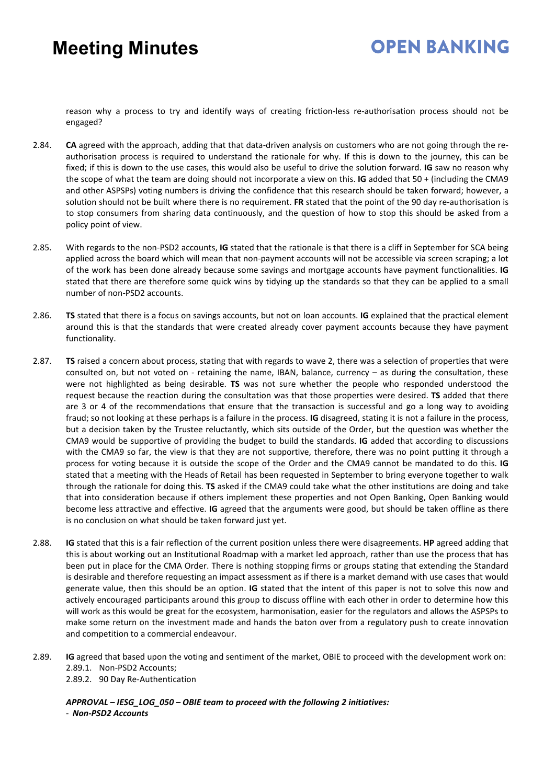### **OPEN RANKING**

reason why a process to try and identify ways of creating friction-less re-authorisation process should not be engaged?

- 2.84. **CA** agreed with the approach, adding that that data-driven analysis on customers who are not going through the reauthorisation process is required to understand the rationale for why. If this is down to the journey, this can be fixed; if this is down to the use cases, this would also be useful to drive the solution forward. **IG** saw no reason why the scope of what the team are doing should not incorporate a view on this. **IG** added that 50 + (including the CMA9 and other ASPSPs) voting numbers is driving the confidence that this research should be taken forward; however, a solution should not be built where there is no requirement. **FR** stated that the point of the 90 day re-authorisation is to stop consumers from sharing data continuously, and the question of how to stop this should be asked from a policy point of view.
- 2.85. With regards to the non-PSD2 accounts, **IG** stated that the rationale is that there is a cliff in September for SCA being applied across the board which will mean that non-payment accounts will not be accessible via screen scraping; a lot of the work has been done already because some savings and mortgage accounts have payment functionalities. **IG** stated that there are therefore some quick wins by tidying up the standards so that they can be applied to a small number of non-PSD2 accounts.
- 2.86. **TS** stated that there is a focus on savings accounts, but not on loan accounts. **IG** explained that the practical element around this is that the standards that were created already cover payment accounts because they have payment functionality.
- 2.87. **TS** raised a concern about process, stating that with regards to wave 2, there was a selection of properties that were consulted on, but not voted on - retaining the name, IBAN, balance, currency – as during the consultation, these were not highlighted as being desirable. **TS** was not sure whether the people who responded understood the request because the reaction during the consultation was that those properties were desired. **TS** added that there are 3 or 4 of the recommendations that ensure that the transaction is successful and go a long way to avoiding fraud; so not looking at these perhaps is a failure in the process. **IG** disagreed, stating it is not a failure in the process, but a decision taken by the Trustee reluctantly, which sits outside of the Order, but the question was whether the CMA9 would be supportive of providing the budget to build the standards. **IG** added that according to discussions with the CMA9 so far, the view is that they are not supportive, therefore, there was no point putting it through a process for voting because it is outside the scope of the Order and the CMA9 cannot be mandated to do this. **IG** stated that a meeting with the Heads of Retail has been requested in September to bring everyone together to walk through the rationale for doing this. **TS** asked if the CMA9 could take what the other institutions are doing and take that into consideration because if others implement these properties and not Open Banking, Open Banking would become less attractive and effective. **IG** agreed that the arguments were good, but should be taken offline as there is no conclusion on what should be taken forward just yet.
- 2.88. **IG** stated that this is a fair reflection of the current position unless there were disagreements. **HP** agreed adding that this is about working out an Institutional Roadmap with a market led approach, rather than use the process that has been put in place for the CMA Order. There is nothing stopping firms or groups stating that extending the Standard is desirable and therefore requesting an impact assessment as if there is a market demand with use cases that would generate value, then this should be an option. **IG** stated that the intent of this paper is not to solve this now and actively encouraged participants around this group to discuss offline with each other in order to determine how this will work as this would be great for the ecosystem, harmonisation, easier for the regulators and allows the ASPSPs to make some return on the investment made and hands the baton over from a regulatory push to create innovation and competition to a commercial endeavour.
- 2.89. **IG** agreed that based upon the voting and sentiment of the market, OBIE to proceed with the development work on: 2.89.1. Non-PSD2 Accounts;

2.89.2. 90 Day Re-Authentication

*APPROVAL – IESG\_LOG\_050 – OBIE team to proceed with the following 2 initiatives:* - *Non-PSD2 Accounts*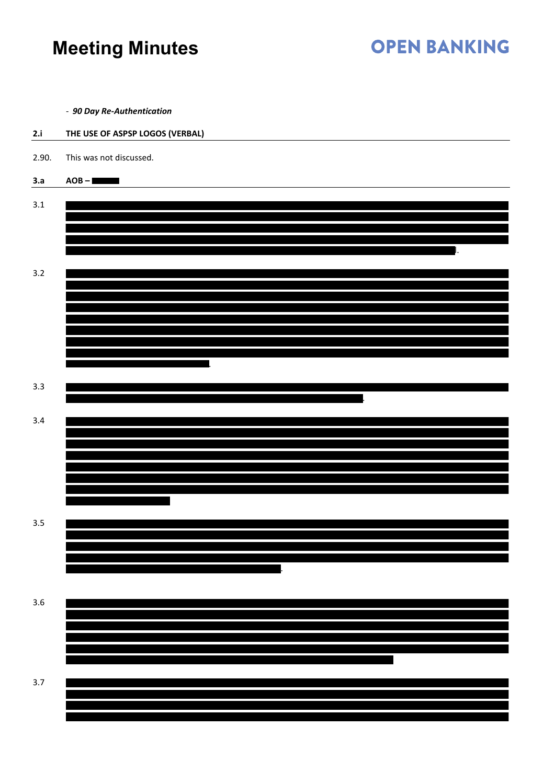# **OPEN BANKING**

- *90 Day Re-Authentication*